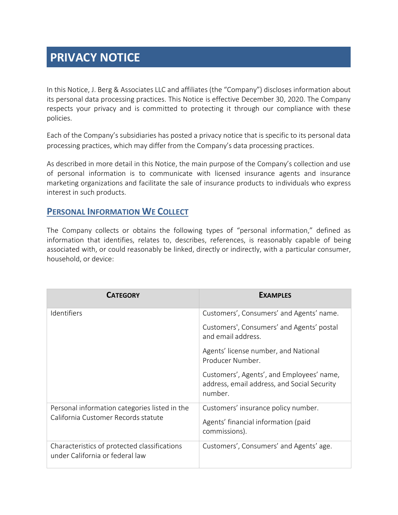# **PRIVACY NOTICE**

In this Notice, J. Berg & Associates LLC and affiliates (the "Company") discloses information about its personal data processing practices. This Notice is effective December 30, 2020. The Company respects your privacy and is committed to protecting it through our compliance with these policies.

Each of the Company's subsidiaries has posted a privacy notice that is specific to its personal data processing practices, which may differ from the Company's data processing practices.

As described in more detail in this Notice, the main purpose of the Company's collection and use of personal information is to communicate with licensed insurance agents and insurance marketing organizations and facilitate the sale of insurance products to individuals who express interest in such products.

# **PERSONAL INFORMATION WE COLLECT**

The Company collects or obtains the following types of "personal information," defined as information that identifies, relates to, describes, references, is reasonably capable of being associated with, or could reasonably be linked, directly or indirectly, with a particular consumer, household, or device:

| <b>CATEGORY</b>                                                                      | <b>EXAMPLES</b>                                                                                     |
|--------------------------------------------------------------------------------------|-----------------------------------------------------------------------------------------------------|
| <b>Identifiers</b>                                                                   | Customers', Consumers' and Agents' name.                                                            |
|                                                                                      | Customers', Consumers' and Agents' postal<br>and email address.                                     |
|                                                                                      | Agents' license number, and National<br>Producer Number.                                            |
|                                                                                      | Customers', Agents', and Employees' name,<br>address, email address, and Social Security<br>number. |
| Personal information categories listed in the<br>California Customer Records statute | Customers' insurance policy number.                                                                 |
|                                                                                      | Agents' financial information (paid<br>commissions).                                                |
| Characteristics of protected classifications<br>under California or federal law      | Customers', Consumers' and Agents' age.                                                             |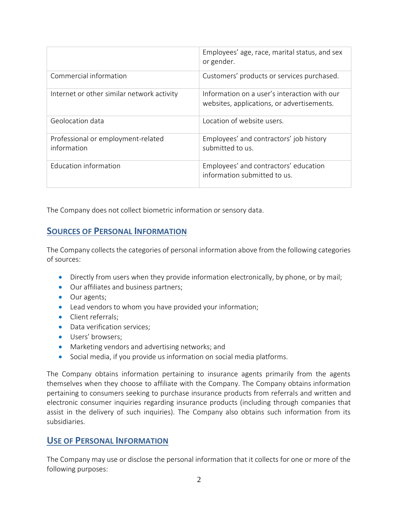|                                                   | Employees' age, race, marital status, and sex<br>or gender.                                |
|---------------------------------------------------|--------------------------------------------------------------------------------------------|
| Commercial information                            | Customers' products or services purchased.                                                 |
| Internet or other similar network activity        | Information on a user's interaction with our<br>websites, applications, or advertisements. |
| Geolocation data                                  | Location of website users.                                                                 |
| Professional or employment-related<br>information | Employees' and contractors' job history<br>submitted to us                                 |
| Education information                             | Employees' and contractors' education<br>information submitted to us.                      |

The Company does not collect biometric information or sensory data.

# **SOURCES OF PERSONAL INFORMATION**

The Company collects the categories of personal information above from the following categories of sources:

- Directly from users when they provide information electronically, by phone, or by mail;
- Our affiliates and business partners;
- Our agents;
- Lead vendors to whom you have provided your information;
- Client referrals:
- Data verification services:
- Users' browsers;
- Marketing vendors and advertising networks; and
- Social media, if you provide us information on social media platforms.

The Company obtains information pertaining to insurance agents primarily from the agents themselves when they choose to affiliate with the Company. The Company obtains information pertaining to consumers seeking to purchase insurance products from referrals and written and electronic consumer inquiries regarding insurance products (including through companies that assist in the delivery of such inquiries). The Company also obtains such information from its subsidiaries.

## **USE OF PERSONAL INFORMATION**

The Company may use or disclose the personal information that it collects for one or more of the following purposes: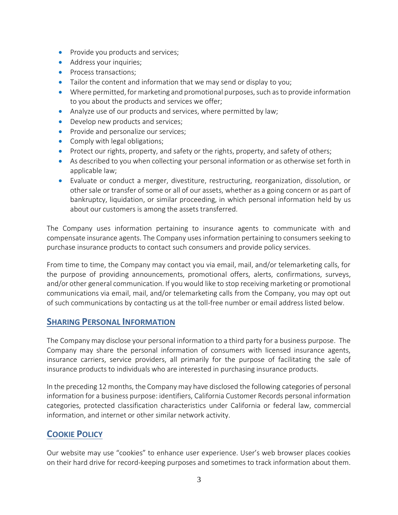- Provide you products and services;
- Address your inquiries;
- Process transactions;
- Tailor the content and information that we may send or display to you;
- Where permitted, for marketing and promotional purposes, such as to provide information to you about the products and services we offer;
- Analyze use of our products and services, where permitted by law;
- Develop new products and services;
- Provide and personalize our services;
- Comply with legal obligations;
- Protect our rights, property, and safety or the rights, property, and safety of others;
- As described to you when collecting your personal information or as otherwise set forth in applicable law;
- Evaluate or conduct a merger, divestiture, restructuring, reorganization, dissolution, or other sale or transfer of some or all of our assets, whether as a going concern or as part of bankruptcy, liquidation, or similar proceeding, in which personal information held by us about our customers is among the assets transferred.

The Company uses information pertaining to insurance agents to communicate with and compensate insurance agents. The Company uses information pertaining to consumers seeking to purchase insurance products to contact such consumers and provide policy services.

From time to time, the Company may contact you via email, mail, and/or telemarketing calls, for the purpose of providing announcements, promotional offers, alerts, confirmations, surveys, and/or other general communication. If you would like to stop receiving marketing or promotional communications via email, mail, and/or telemarketing calls from the Company, you may opt out of such communications by contacting us at the toll-free number or email address listed below.

#### **SHARING PERSONAL INFORMATION**

The Company may disclose your personal information to a third party for a business purpose. The Company may share the personal information of consumers with licensed insurance agents, insurance carriers, service providers, all primarily for the purpose of facilitating the sale of insurance products to individuals who are interested in purchasing insurance products.

In the preceding 12 months, the Company may have disclosed the following categories of personal information for a business purpose: identifiers, California Customer Records personal information categories, protected classification characteristics under California or federal law, commercial information, and internet or other similar network activity.

## **COOKIE POLICY**

Our website may use "cookies" to enhance user experience. User's web browser places cookies on their hard drive for record-keeping purposes and sometimes to track information about them.